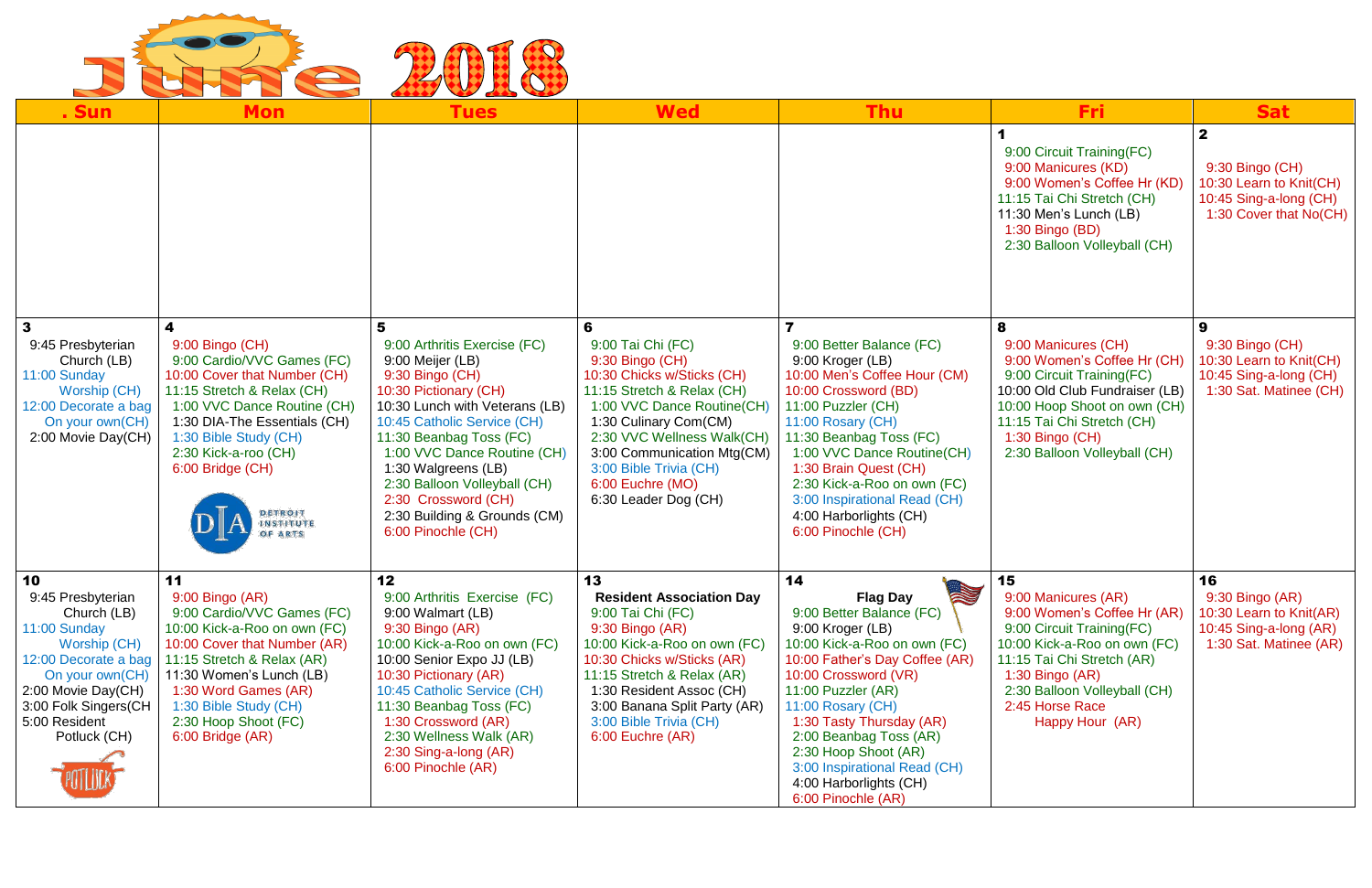

| . Sun                                                                                                                                                                                            |                                                                                                                                                                                                                                                                                                  |                                                                                                                                                                                                                                                                                                                                                             | <b>Wed</b>                                                                                                                                                                                                                                                                                     | Thu                                                                                                                                                                                                                                                                                                                                                                           | Fri:                                                                                                                                                                                                                                           | <b>Sat</b>                                                                                                     |
|--------------------------------------------------------------------------------------------------------------------------------------------------------------------------------------------------|--------------------------------------------------------------------------------------------------------------------------------------------------------------------------------------------------------------------------------------------------------------------------------------------------|-------------------------------------------------------------------------------------------------------------------------------------------------------------------------------------------------------------------------------------------------------------------------------------------------------------------------------------------------------------|------------------------------------------------------------------------------------------------------------------------------------------------------------------------------------------------------------------------------------------------------------------------------------------------|-------------------------------------------------------------------------------------------------------------------------------------------------------------------------------------------------------------------------------------------------------------------------------------------------------------------------------------------------------------------------------|------------------------------------------------------------------------------------------------------------------------------------------------------------------------------------------------------------------------------------------------|----------------------------------------------------------------------------------------------------------------|
|                                                                                                                                                                                                  | <b>Mon</b>                                                                                                                                                                                                                                                                                       | Tues                                                                                                                                                                                                                                                                                                                                                        |                                                                                                                                                                                                                                                                                                |                                                                                                                                                                                                                                                                                                                                                                               | 9:00 Circuit Training (FC)<br>9:00 Manicures (KD)<br>9:00 Women's Coffee Hr (KD)<br>11:15 Tai Chi Stretch (CH)<br>11:30 Men's Lunch (LB)<br>1:30 Bingo (BD)<br>2:30 Balloon Volleyball (CH)                                                    | $\mathbf{2}$<br>9:30 Bingo (CH)<br>10:30 Learn to Knit(CH)<br>10:45 Sing-a-long (CH)<br>1:30 Cover that No(CH) |
| 9:45 Presbyterian<br>Church (LB)<br>11:00 Sunday<br>Worship (CH)<br>12:00 Decorate a bag<br>On your own(CH)<br>2:00 Movie Day(CH)                                                                | 9:00 Bingo (CH)<br>9:00 Cardio/VVC Games (FC)<br>10:00 Cover that Number (CH)<br>11:15 Stretch & Relax (CH)<br>1:00 VVC Dance Routine (CH)<br>1:30 DIA-The Essentials (CH)<br>1:30 Bible Study (CH)<br>2:30 Kick-a-roo (CH)<br>6:00 Bridge (CH)<br><b>DETROIT</b><br><b>INSTITUTE</b><br>OF ARTS | 9:00 Arthritis Exercise (FC)<br>9:00 Meijer (LB)<br>9:30 Bingo (CH)<br>10:30 Pictionary (CH)<br>10:30 Lunch with Veterans (LB)<br>10:45 Catholic Service (CH)<br>11:30 Beanbag Toss (FC)<br>1:00 VVC Dance Routine (CH)<br>1:30 Walgreens (LB)<br>2:30 Balloon Volleyball (CH)<br>2:30 Crossword (CH)<br>2:30 Building & Grounds (CM)<br>6:00 Pinochle (CH) | 6<br>9:00 Tai Chi (FC)<br>9:30 Bingo (CH)<br>10:30 Chicks w/Sticks (CH)<br>11:15 Stretch & Relax (CH)<br>1:00 VVC Dance Routine(CH)<br>1:30 Culinary Com(CM)<br>2:30 VVC Wellness Walk(CH)<br>3:00 Communication Mtg(CM)<br>3:00 Bible Trivia (CH)<br>6:00 Euchre (MO)<br>6:30 Leader Dog (CH) | 9:00 Better Balance (FC)<br>9:00 Kroger (LB)<br>10:00 Men's Coffee Hour (CM)<br>10:00 Crossword (BD)<br>11:00 Puzzler (CH)<br>11:00 Rosary (CH)<br>11:30 Beanbag Toss (FC)<br>1:00 VVC Dance Routine(CH)<br>1:30 Brain Quest (CH)<br>2:30 Kick-a-Roo on own (FC)<br>3:00 Inspirational Read (CH)<br>4:00 Harborlights (CH)<br>6:00 Pinochle (CH)                              | 9:00 Manicures (CH)<br>9:00 Women's Coffee Hr (CH)<br>9:00 Circuit Training(FC)<br>10:00 Old Club Fundraiser (LB)<br>10:00 Hoop Shoot on own (CH)<br>11:15 Tai Chi Stretch (CH)<br>1:30 Bingo (CH)<br>2:30 Balloon Volleyball (CH)             | 9<br>9:30 Bingo (CH)<br>10:30 Learn to Knit(CH)<br>10:45 Sing-a-long (CH)<br>1:30 Sat. Matinee (CH)            |
| 10<br>9:45 Presbyterian<br>Church (LB)<br>11:00 Sunday<br>Worship (CH)<br>12:00 Decorate a bag<br>On your own(CH)<br>2:00 Movie Day(CH)<br>3:00 Folk Singers(CH<br>5:00 Resident<br>Potluck (CH) | 11<br>$9:00$ Bingo (AR)<br>9:00 Cardio/VVC Games (FC)<br>10:00 Kick-a-Roo on own (FC)<br>10:00 Cover that Number (AR)<br>11:15 Stretch & Relax (AR)<br>11:30 Women's Lunch (LB)<br>1:30 Word Games (AR)<br>1:30 Bible Study (CH)<br>2:30 Hoop Shoot (FC)<br>6:00 Bridge (AR)                     | 12<br>9:00 Arthritis Exercise (FC)<br>9:00 Walmart (LB)<br>9:30 Bingo (AR)<br>10:00 Kick-a-Roo on own (FC)<br>10:00 Senior Expo JJ (LB)<br>10:30 Pictionary (AR)<br>10:45 Catholic Service (CH)<br>11:30 Beanbag Toss (FC)<br>1:30 Crossword (AR)<br>2:30 Wellness Walk (AR)<br>2:30 Sing-a-long (AR)<br>6:00 Pinochle (AR)                                 | 13<br><b>Resident Association Day</b><br>9:00 Tai Chi (FC)<br>$9:30$ Bingo (AR)<br>10:00 Kick-a-Roo on own (FC)<br>10:30 Chicks w/Sticks (AR)<br>11:15 Stretch & Relax (AR)<br>1:30 Resident Assoc (CH)<br>3:00 Banana Split Party (AR)<br>3:00 Bible Trivia (CH)<br>6:00 Euchre (AR)          | 14<br>N<br><b>Flag Day</b><br>9:00 Better Balance (FC)<br>9:00 Kroger (LB)<br>10:00 Kick-a-Roo on own (FC)<br>10:00 Father's Day Coffee (AR)<br>10:00 Crossword (VR)<br>11:00 Puzzler (AR)<br>11:00 Rosary (CH)<br>1:30 Tasty Thursday (AR)<br>2:00 Beanbag Toss (AR)<br>2:30 Hoop Shoot (AR)<br>3:00 Inspirational Read (CH)<br>4:00 Harborlights (CH)<br>6:00 Pinochle (AR) | 15<br>9:00 Manicures (AR)<br>9:00 Women's Coffee Hr (AR)<br>9:00 Circuit Training(FC)<br>10:00 Kick-a-Roo on own (FC)<br>11:15 Tai Chi Stretch (AR)<br>$1:30$ Bingo (AR)<br>2:30 Balloon Volleyball (CH)<br>2:45 Horse Race<br>Happy Hour (AR) | 16<br>$9:30$ Bingo (AR)<br>10:30 Learn to Knit(AR)<br>10:45 Sing-a-long (AR)<br>1:30 Sat. Matinee (AR)         |